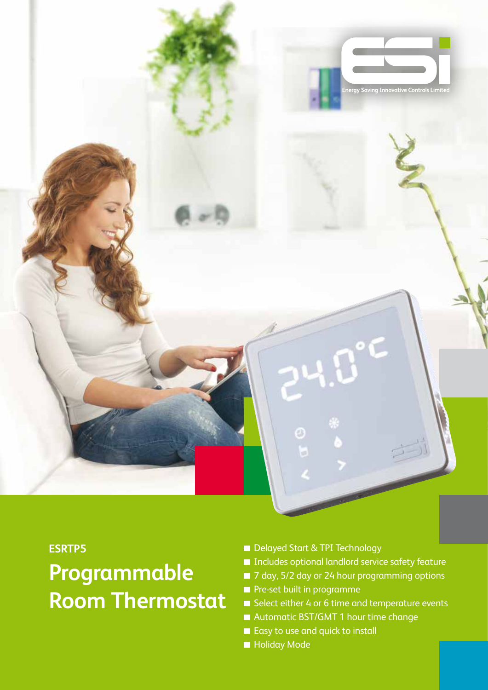

#### **ESRTP5**

# **Programmable Room Thermostat**

- Delayed Start & TPI Technology
- Includes optional landlord service safety feature
- 7 day, 5/2 day or 24 hour programming options
- **Pre-set built in programme**
- Select either 4 or 6 time and temperature events
- Automatic BST/GMT 1 hour time change
- Easy to use and quick to install
- **Holiday Mode**